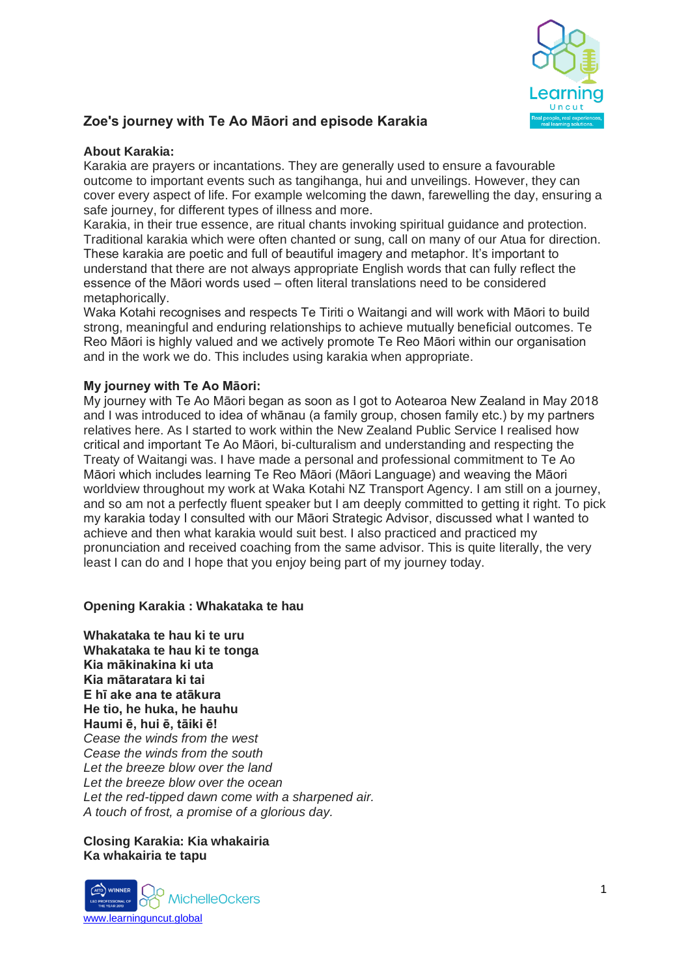

# **Zoe's journey with Te Ao Māori and episode Karakia**

## **About Karakia:**

Karakia are prayers or incantations. They are generally used to ensure a favourable outcome to important events such as tangihanga, hui and unveilings. However, they can cover every aspect of life. For example welcoming the dawn, farewelling the day, ensuring a safe journey, for different types of illness and more.

Karakia, in their true essence, are ritual chants invoking spiritual guidance and protection. Traditional karakia which were often chanted or sung, call on many of our Atua for direction. These karakia are poetic and full of beautiful imagery and metaphor. It's important to understand that there are not always appropriate English words that can fully reflect the essence of the Māori words used – often literal translations need to be considered metaphorically.

Waka Kotahi recognises and respects Te Tiriti o Waitangi and will work with Māori to build strong, meaningful and enduring relationships to achieve mutually beneficial outcomes. Te Reo Māori is highly valued and we actively promote Te Reo Māori within our organisation and in the work we do. This includes using karakia when appropriate.

### **My journey with Te Ao Māori:**

My journey with Te Ao Māori began as soon as I got to Aotearoa New Zealand in May 2018 and I was introduced to idea of whānau (a family group, chosen family etc.) by my partners relatives here. As I started to work within the New Zealand Public Service I realised how critical and important Te Ao Māori, bi-culturalism and understanding and respecting the Treaty of Waitangi was. I have made a personal and professional commitment to Te Ao Māori which includes learning Te Reo Māori (Māori Language) and weaving the Māori worldview throughout my work at Waka Kotahi NZ Transport Agency. I am still on a journey, and so am not a perfectly fluent speaker but I am deeply committed to getting it right. To pick my karakia today I consulted with our Māori Strategic Advisor, discussed what I wanted to achieve and then what karakia would suit best. I also practiced and practiced my pronunciation and received coaching from the same advisor. This is quite literally, the very least I can do and I hope that you enjoy being part of my journey today.

### **Opening Karakia : Whakataka te hau**

**Whakataka te hau ki te uru Whakataka te hau ki te tonga Kia mākinakina ki uta Kia mātaratara ki tai E hī ake ana te atākura He tio, he huka, he hauhu Haumi ē, hui ē, tāiki ē!** *Cease the winds from the west Cease the winds from the south Let the breeze blow over the land Let the breeze blow over the ocean Let the red-tipped dawn come with a sharpened air. A touch of frost, a promise of a glorious day.*

### **Closing Karakia: Kia whakairia Ka whakairia te tapu**